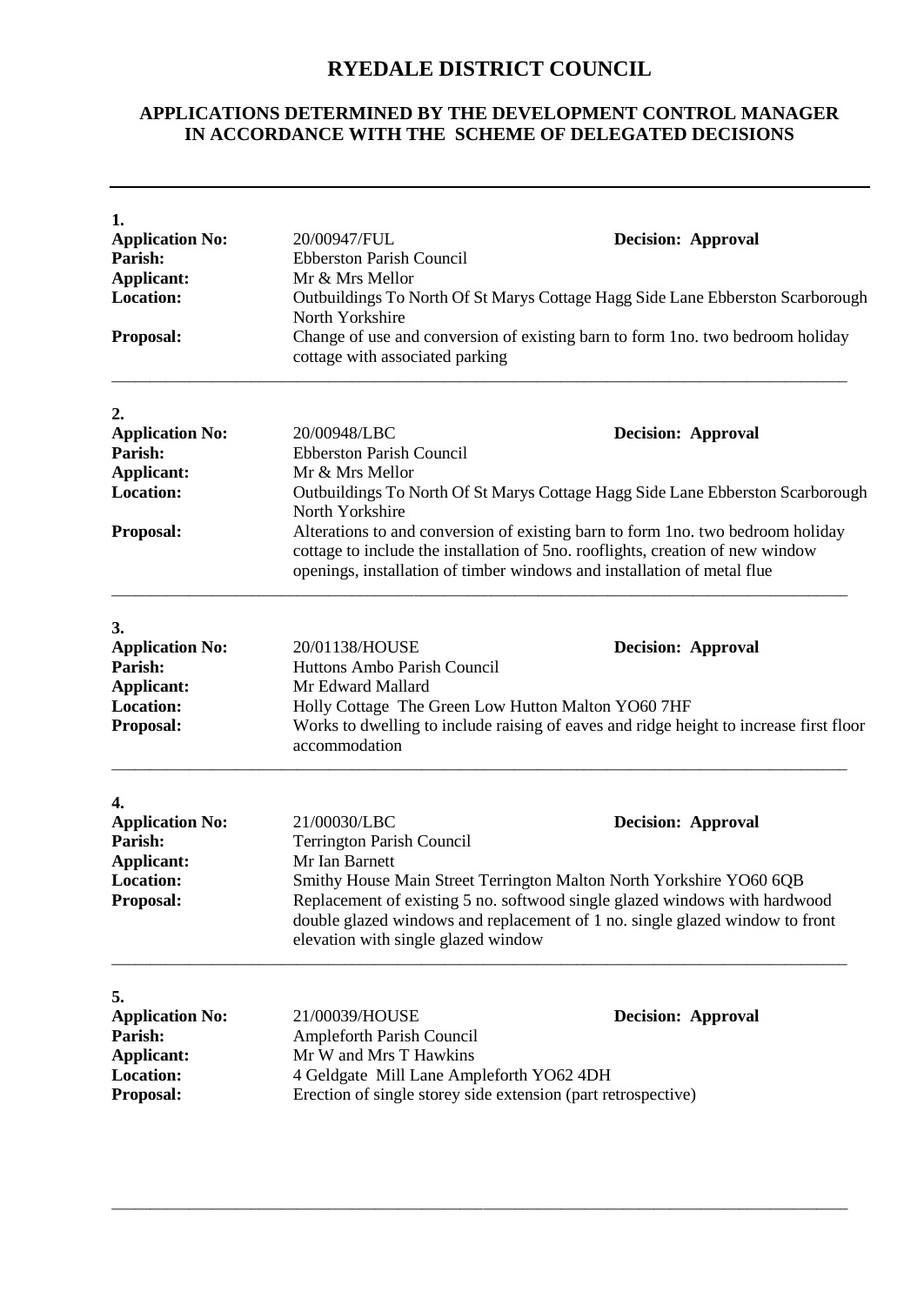## **RYEDALE DISTRICT COUNCIL**

## **APPLICATIONS DETERMINED BY THE DEVELOPMENT CONTROL MANAGER IN ACCORDANCE WITH THE SCHEME OF DELEGATED DECISIONS**

| 1.<br><b>Application No:</b><br>Parish:<br><b>Applicant:</b><br><b>Location:</b><br>Proposal: | 20/00947/FUL<br><b>Decision: Approval</b><br><b>Ebberston Parish Council</b><br>Mr & Mrs Mellor<br>Outbuildings To North Of St Marys Cottage Hagg Side Lane Ebberston Scarborough<br>North Yorkshire<br>Change of use and conversion of existing barn to form 1no. two bedroom holiday<br>cottage with associated parking                                                                                                                            |  |  |
|-----------------------------------------------------------------------------------------------|------------------------------------------------------------------------------------------------------------------------------------------------------------------------------------------------------------------------------------------------------------------------------------------------------------------------------------------------------------------------------------------------------------------------------------------------------|--|--|
| 2.<br><b>Application No:</b><br>Parish:<br>Applicant:<br><b>Location:</b><br>Proposal:        | <b>Decision: Approval</b><br>20/00948/LBC<br><b>Ebberston Parish Council</b><br>Mr & Mrs Mellor<br>Outbuildings To North Of St Marys Cottage Hagg Side Lane Ebberston Scarborough<br>North Yorkshire<br>Alterations to and conversion of existing barn to form 1no. two bedroom holiday<br>cottage to include the installation of 5no. rooflights, creation of new window<br>openings, installation of timber windows and installation of metal flue |  |  |
| 3.<br><b>Application No:</b><br>Parish:<br>Applicant:<br><b>Location:</b><br>Proposal:        | 20/01138/HOUSE<br><b>Decision: Approval</b><br>Huttons Ambo Parish Council<br>Mr Edward Mallard<br>Holly Cottage The Green Low Hutton Malton YO60 7HF<br>Works to dwelling to include raising of eaves and ridge height to increase first floor<br>accommodation                                                                                                                                                                                     |  |  |
| 4.<br><b>Application No:</b><br>Parish:<br><b>Applicant:</b><br><b>Location:</b><br>Proposal: | 21/00030/LBC<br><b>Decision: Approval</b><br><b>Terrington Parish Council</b><br>Mr Ian Barnett<br>Smithy House Main Street Terrington Malton North Yorkshire YO60 6QB<br>Replacement of existing 5 no. softwood single glazed windows with hardwood<br>double glazed windows and replacement of 1 no. single glazed window to front<br>elevation with single glazed window                                                                          |  |  |
| 5.<br><b>Application No:</b><br>Parish:<br>Applicant:<br><b>Location:</b><br>Proposal:        | 21/00039/HOUSE<br><b>Decision: Approval</b><br>Ampleforth Parish Council<br>Mr W and Mrs T Hawkins<br>4 Geldgate Mill Lane Ampleforth YO62 4DH<br>Erection of single storey side extension (part retrospective)                                                                                                                                                                                                                                      |  |  |

\_\_\_\_\_\_\_\_\_\_\_\_\_\_\_\_\_\_\_\_\_\_\_\_\_\_\_\_\_\_\_\_\_\_\_\_\_\_\_\_\_\_\_\_\_\_\_\_\_\_\_\_\_\_\_\_\_\_\_\_\_\_\_\_\_\_\_\_\_\_\_\_\_\_\_\_\_\_\_\_\_\_\_\_\_\_\_\_\_\_\_\_\_\_\_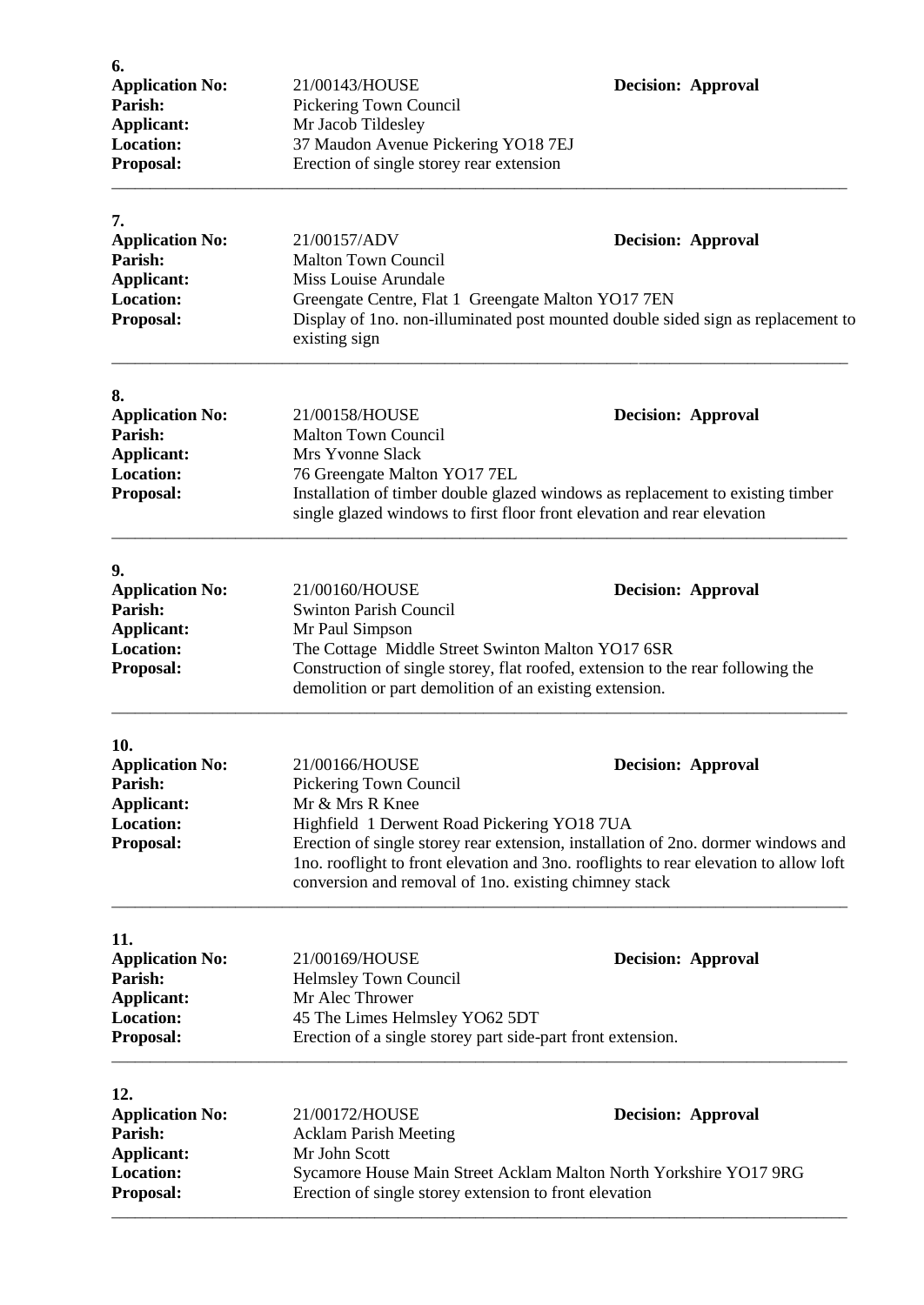| 6.                                    |                                                                                                                                                           |                           |  |
|---------------------------------------|-----------------------------------------------------------------------------------------------------------------------------------------------------------|---------------------------|--|
| <b>Application No:</b>                | 21/00143/HOUSE                                                                                                                                            | <b>Decision: Approval</b> |  |
| Parish:<br><b>Applicant:</b>          | Pickering Town Council<br>Mr Jacob Tildesley                                                                                                              |                           |  |
| <b>Location:</b>                      | 37 Maudon Avenue Pickering YO18 7EJ                                                                                                                       |                           |  |
| Proposal:                             | Erection of single storey rear extension                                                                                                                  |                           |  |
|                                       |                                                                                                                                                           |                           |  |
| 7.                                    |                                                                                                                                                           |                           |  |
| <b>Application No:</b>                | 21/00157/ADV                                                                                                                                              | <b>Decision: Approval</b> |  |
| Parish:                               | <b>Malton Town Council</b>                                                                                                                                |                           |  |
| <b>Applicant:</b>                     | Miss Louise Arundale                                                                                                                                      |                           |  |
| <b>Location:</b>                      | Greengate Centre, Flat 1 Greengate Malton YO17 7EN                                                                                                        |                           |  |
| Proposal:                             | Display of 1no. non-illuminated post mounted double sided sign as replacement to<br>existing sign                                                         |                           |  |
| 8.                                    |                                                                                                                                                           |                           |  |
| <b>Application No:</b>                | 21/00158/HOUSE                                                                                                                                            | <b>Decision: Approval</b> |  |
| Parish:                               | <b>Malton Town Council</b>                                                                                                                                |                           |  |
| <b>Applicant:</b>                     | Mrs Yvonne Slack                                                                                                                                          |                           |  |
| <b>Location:</b>                      | 76 Greengate Malton YO17 7EL                                                                                                                              |                           |  |
| Proposal:                             | Installation of timber double glazed windows as replacement to existing timber<br>single glazed windows to first floor front elevation and rear elevation |                           |  |
|                                       |                                                                                                                                                           |                           |  |
| 9.<br><b>Application No:</b>          | 21/00160/HOUSE                                                                                                                                            | <b>Decision: Approval</b> |  |
| Parish:                               | <b>Swinton Parish Council</b>                                                                                                                             |                           |  |
| <b>Applicant:</b>                     | Mr Paul Simpson                                                                                                                                           |                           |  |
| <b>Location:</b>                      | The Cottage Middle Street Swinton Malton YO17 6SR                                                                                                         |                           |  |
| Proposal:                             | Construction of single storey, flat roofed, extension to the rear following the<br>demolition or part demolition of an existing extension.                |                           |  |
|                                       |                                                                                                                                                           |                           |  |
| 10.                                   |                                                                                                                                                           |                           |  |
| <b>Application No:</b>                | 21/00166/HOUSE                                                                                                                                            | <b>Decision: Approval</b> |  |
| Parish:                               | Pickering Town Council<br>Mr & Mrs R Knee                                                                                                                 |                           |  |
| <b>Applicant:</b><br><b>Location:</b> | Highfield 1 Derwent Road Pickering YO18 7UA                                                                                                               |                           |  |
| Proposal:                             | Erection of single storey rear extension, installation of 2no. dormer windows and                                                                         |                           |  |
|                                       | Ino. rooflight to front elevation and 3no. rooflights to rear elevation to allow loft                                                                     |                           |  |
|                                       | conversion and removal of 1no. existing chimney stack                                                                                                     |                           |  |
| 11.                                   |                                                                                                                                                           |                           |  |
| <b>Application No:</b>                | 21/00169/HOUSE                                                                                                                                            | <b>Decision: Approval</b> |  |
| Parish:                               | <b>Helmsley Town Council</b>                                                                                                                              |                           |  |
| <b>Applicant:</b>                     | Mr Alec Thrower                                                                                                                                           |                           |  |
| <b>Location:</b>                      | 45 The Limes Helmsley YO62 5DT                                                                                                                            |                           |  |
| Proposal:                             | Erection of a single storey part side-part front extension.                                                                                               |                           |  |
| 12.                                   |                                                                                                                                                           |                           |  |
| <b>Application No:</b>                | 21/00172/HOUSE                                                                                                                                            | <b>Decision: Approval</b> |  |
| Parish:                               | <b>Acklam Parish Meeting</b>                                                                                                                              |                           |  |
| <b>Applicant:</b>                     | Mr John Scott                                                                                                                                             |                           |  |
| <b>Location:</b>                      | Sycamore House Main Street Acklam Malton North Yorkshire YO17 9RG                                                                                         |                           |  |
| Proposal:                             | Erection of single storey extension to front elevation                                                                                                    |                           |  |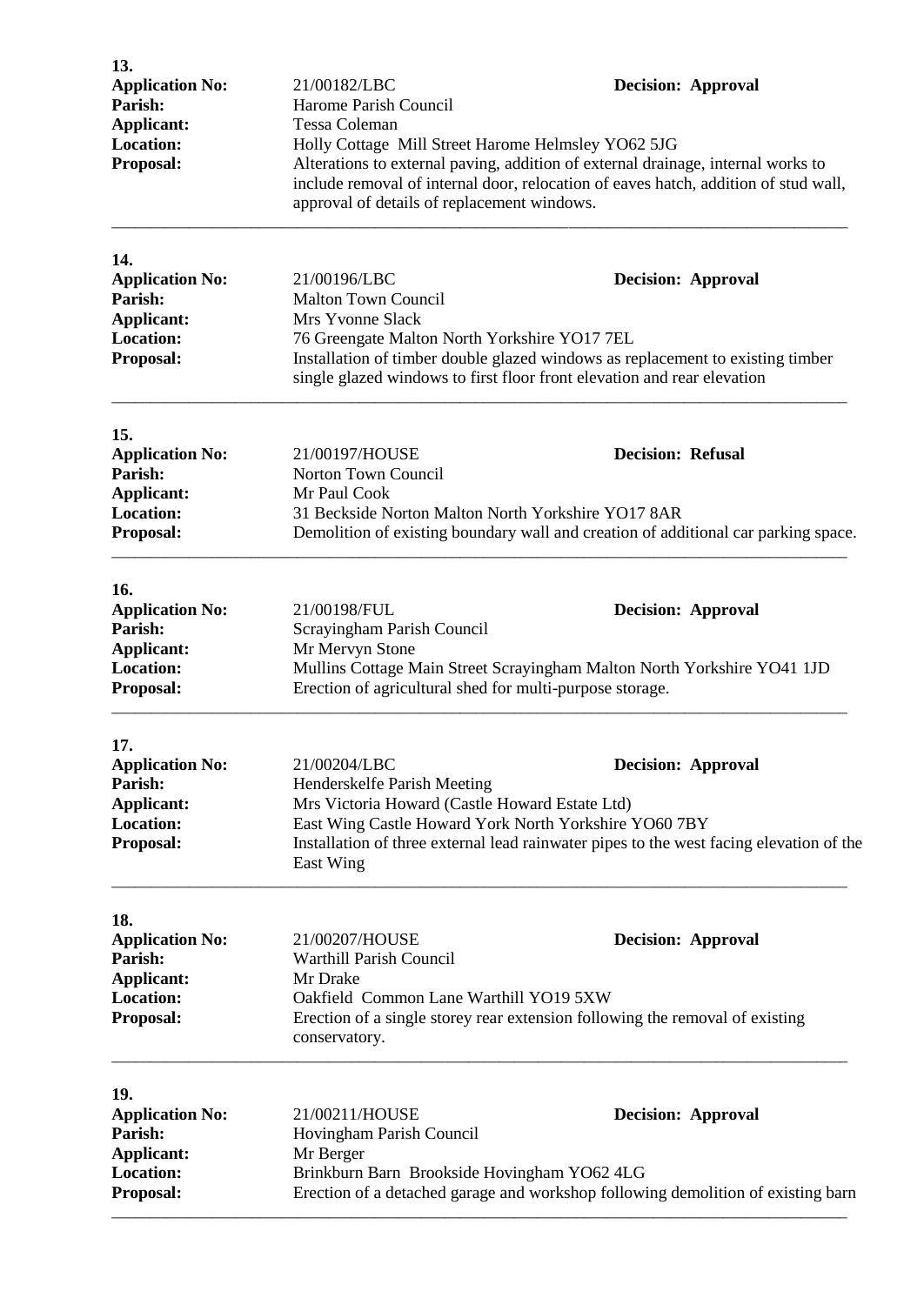| 13.<br><b>Application No:</b>                                                                  | 21/00182/LBC                                                                                                                                                                                                                                                                                  | <b>Decision: Approval</b>                                                                                            |  |  |
|------------------------------------------------------------------------------------------------|-----------------------------------------------------------------------------------------------------------------------------------------------------------------------------------------------------------------------------------------------------------------------------------------------|----------------------------------------------------------------------------------------------------------------------|--|--|
| Parish:<br><b>Applicant:</b>                                                                   | Harome Parish Council                                                                                                                                                                                                                                                                         |                                                                                                                      |  |  |
| <b>Location:</b><br>Proposal:                                                                  | Tessa Coleman<br>Holly Cottage Mill Street Harome Helmsley YO62 5JG<br>Alterations to external paving, addition of external drainage, internal works to<br>include removal of internal door, relocation of eaves hatch, addition of stud wall,<br>approval of details of replacement windows. |                                                                                                                      |  |  |
| 14.<br><b>Application No:</b><br>Parish:<br><b>Applicant:</b>                                  | 21/00196/LBC<br><b>Malton Town Council</b><br>Mrs Yvonne Slack                                                                                                                                                                                                                                | <b>Decision: Approval</b>                                                                                            |  |  |
| <b>Location:</b><br>Proposal:                                                                  | 76 Greengate Malton North Yorkshire YO17 7EL<br>Installation of timber double glazed windows as replacement to existing timber<br>single glazed windows to first floor front elevation and rear elevation                                                                                     |                                                                                                                      |  |  |
| 15.<br><b>Application No:</b><br>Parish:<br><b>Applicant:</b>                                  | 21/00197/HOUSE<br>Norton Town Council<br>Mr Paul Cook                                                                                                                                                                                                                                         | <b>Decision: Refusal</b>                                                                                             |  |  |
| <b>Location:</b><br>Proposal:                                                                  | 31 Beckside Norton Malton North Yorkshire YO17 8AR<br>Demolition of existing boundary wall and creation of additional car parking space.                                                                                                                                                      |                                                                                                                      |  |  |
| 16.                                                                                            |                                                                                                                                                                                                                                                                                               |                                                                                                                      |  |  |
| <b>Application No:</b><br>Parish:<br><b>Applicant:</b><br><b>Location:</b>                     | 21/00198/FUL<br><b>Decision: Approval</b><br>Scrayingham Parish Council<br>Mr Mervyn Stone<br>Mullins Cottage Main Street Scrayingham Malton North Yorkshire YO41 1JD                                                                                                                         |                                                                                                                      |  |  |
| Proposal:                                                                                      | Erection of agricultural shed for multi-purpose storage.                                                                                                                                                                                                                                      |                                                                                                                      |  |  |
| 17.<br><b>Application No:</b><br>Parish:<br><b>Applicant:</b><br><b>Location:</b><br>Proposal: | 21/00204/LBC<br>Henderskelfe Parish Meeting<br>Mrs Victoria Howard (Castle Howard Estate Ltd)<br>East Wing Castle Howard York North Yorkshire YO60 7BY<br>East Wing                                                                                                                           | <b>Decision: Approval</b><br>Installation of three external lead rainwater pipes to the west facing elevation of the |  |  |
| 18.<br><b>Application No:</b><br>Parish:<br><b>Applicant:</b><br><b>Location:</b><br>Proposal: | 21/00207/HOUSE<br><b>Warthill Parish Council</b><br>Mr Drake<br>Oakfield Common Lane Warthill YO19 5XW<br>conservatory.                                                                                                                                                                       | <b>Decision: Approval</b><br>Erection of a single storey rear extension following the removal of existing            |  |  |
| 19.<br><b>Application No:</b>                                                                  | 21/00211/HOUSE                                                                                                                                                                                                                                                                                | <b>Decision: Approval</b>                                                                                            |  |  |
| Parish:<br><b>Applicant:</b><br><b>Location:</b><br>Proposal:                                  | Hovingham Parish Council<br>Mr Berger<br>Brinkburn Barn Brookside Hovingham YO62 4LG<br>Erection of a detached garage and workshop following demolition of existing barn                                                                                                                      |                                                                                                                      |  |  |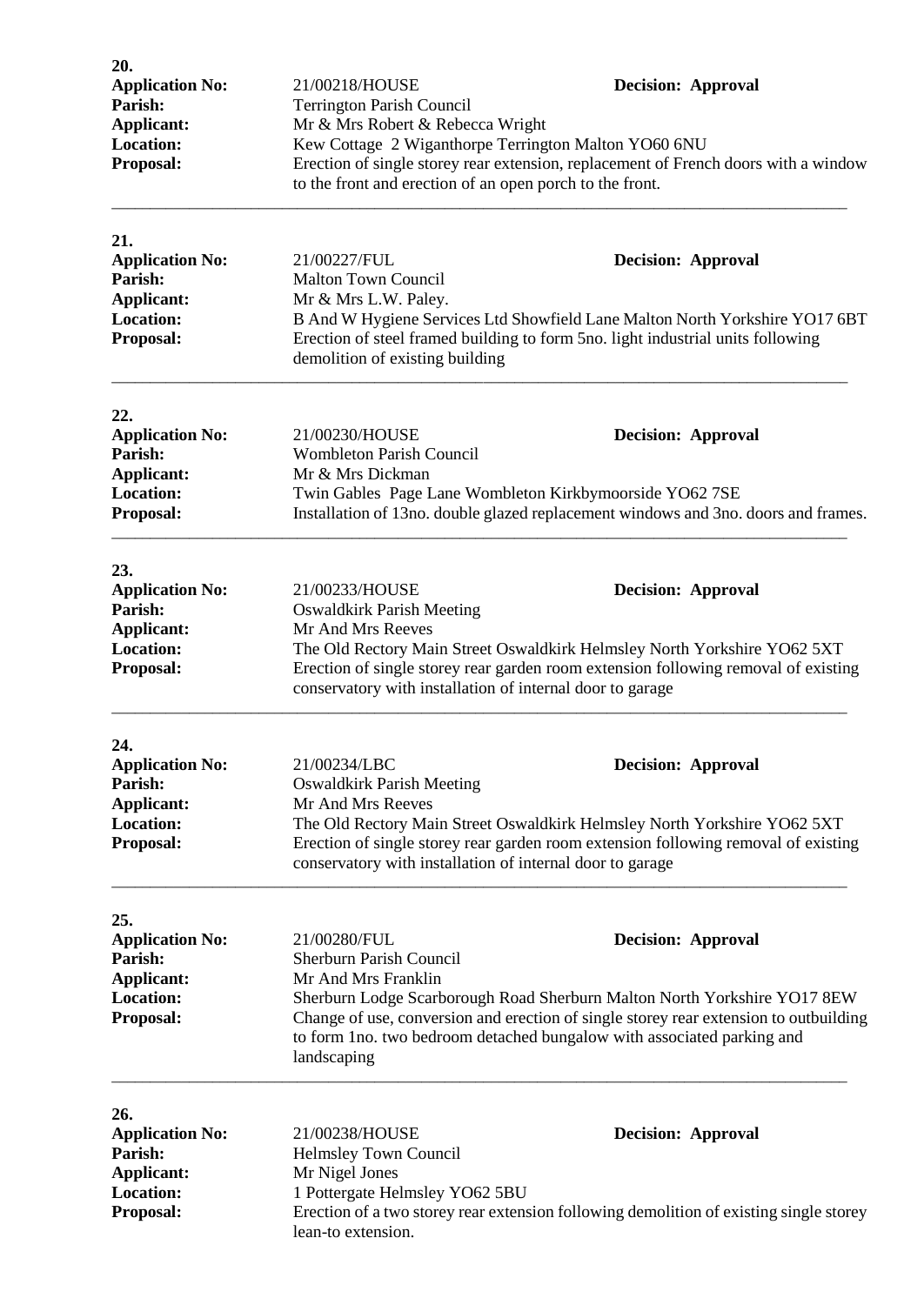| 20.<br><b>Application No:</b><br>Parish:<br><b>Applicant:</b><br><b>Location:</b><br>Proposal: | 21/00218/HOUSE<br><b>Terrington Parish Council</b><br>Mr & Mrs Robert & Rebecca Wright<br>Kew Cottage 2 Wiganthorpe Terrington Malton YO60 6NU<br>to the front and erection of an open porch to the front.                                          | <b>Decision: Approval</b><br>Erection of single storey rear extension, replacement of French doors with a window                                                                                                                                                         |  |
|------------------------------------------------------------------------------------------------|-----------------------------------------------------------------------------------------------------------------------------------------------------------------------------------------------------------------------------------------------------|--------------------------------------------------------------------------------------------------------------------------------------------------------------------------------------------------------------------------------------------------------------------------|--|
| 21.<br><b>Application No:</b><br>Parish:<br><b>Applicant:</b><br><b>Location:</b><br>Proposal: | 21/00227/FUL<br><b>Malton Town Council</b><br>Mr & Mrs L.W. Paley.<br>demolition of existing building                                                                                                                                               | <b>Decision: Approval</b><br>B And W Hygiene Services Ltd Showfield Lane Malton North Yorkshire YO17 6BT<br>Erection of steel framed building to form 5no. light industrial units following                                                                              |  |
| 22.<br><b>Application No:</b><br>Parish:<br>Applicant:<br><b>Location:</b><br>Proposal:        | 21/00230/HOUSE<br><b>Decision: Approval</b><br><b>Wombleton Parish Council</b><br>Mr & Mrs Dickman<br>Twin Gables Page Lane Wombleton Kirkbymoorside YO62 7SE<br>Installation of 13no. double glazed replacement windows and 3no. doors and frames. |                                                                                                                                                                                                                                                                          |  |
| 23.<br><b>Application No:</b><br>Parish:<br><b>Applicant:</b><br><b>Location:</b><br>Proposal: | 21/00233/HOUSE<br><b>Oswaldkirk Parish Meeting</b><br>Mr And Mrs Reeves<br>conservatory with installation of internal door to garage                                                                                                                | <b>Decision: Approval</b><br>The Old Rectory Main Street Oswaldkirk Helmsley North Yorkshire YO62 5XT<br>Erection of single storey rear garden room extension following removal of existing                                                                              |  |
| 24.<br><b>Application No:</b><br>Parish:<br>Applicant:<br><b>Location:</b><br>Proposal:        | 21/00234/LBC<br><b>Oswaldkirk Parish Meeting</b><br>Mr And Mrs Reeves<br>conservatory with installation of internal door to garage                                                                                                                  | <b>Decision: Approval</b><br>The Old Rectory Main Street Oswaldkirk Helmsley North Yorkshire YO62 5XT<br>Erection of single storey rear garden room extension following removal of existing                                                                              |  |
| 25.<br><b>Application No:</b><br>Parish:<br><b>Applicant:</b><br><b>Location:</b><br>Proposal: | 21/00280/FUL<br><b>Sherburn Parish Council</b><br>Mr And Mrs Franklin<br>landscaping                                                                                                                                                                | <b>Decision: Approval</b><br>Sherburn Lodge Scarborough Road Sherburn Malton North Yorkshire YO17 8EW<br>Change of use, conversion and erection of single storey rear extension to outbuilding<br>to form 1no. two bedroom detached bungalow with associated parking and |  |
| 26.<br><b>Application No:</b><br>Parish:<br><b>Applicant:</b><br><b>Location:</b><br>Proposal: | 21/00238/HOUSE<br>Helmsley Town Council<br>Mr Nigel Jones<br>1 Pottergate Helmsley YO62 5BU<br>lean-to extension.                                                                                                                                   | <b>Decision: Approval</b><br>Erection of a two storey rear extension following demolition of existing single storey                                                                                                                                                      |  |